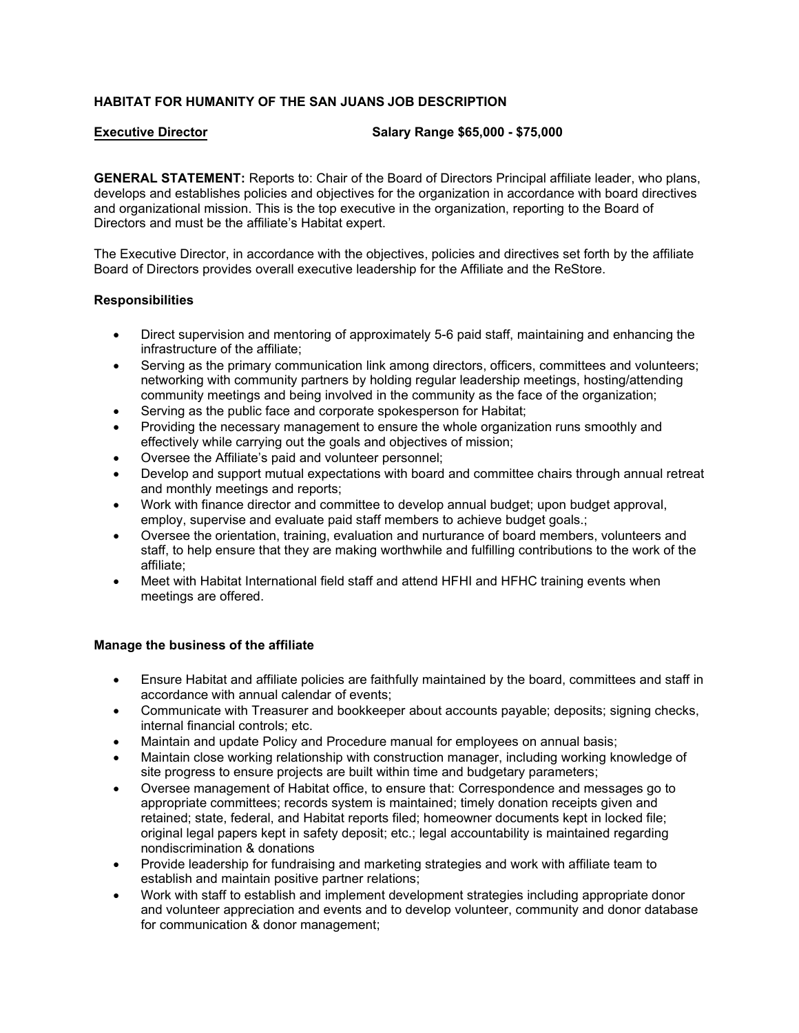# **HABITAT FOR HUMANITY OF THE SAN JUANS JOB DESCRIPTION**

**Executive Director Salary Range \$65,000 - \$75,000**

**GENERAL STATEMENT:** Reports to: Chair of the Board of Directors Principal affiliate leader, who plans, develops and establishes policies and objectives for the organization in accordance with board directives and organizational mission. This is the top executive in the organization, reporting to the Board of Directors and must be the affiliate's Habitat expert.

The Executive Director, in accordance with the objectives, policies and directives set forth by the affiliate Board of Directors provides overall executive leadership for the Affiliate and the ReStore.

## **Responsibilities**

- Direct supervision and mentoring of approximately 5-6 paid staff, maintaining and enhancing the infrastructure of the affiliate;
- Serving as the primary communication link among directors, officers, committees and volunteers; networking with community partners by holding regular leadership meetings, hosting/attending community meetings and being involved in the community as the face of the organization;
- Serving as the public face and corporate spokesperson for Habitat;
- Providing the necessary management to ensure the whole organization runs smoothly and effectively while carrying out the goals and objectives of mission;
- Oversee the Affiliate's paid and volunteer personnel;
- Develop and support mutual expectations with board and committee chairs through annual retreat and monthly meetings and reports;
- Work with finance director and committee to develop annual budget; upon budget approval, employ, supervise and evaluate paid staff members to achieve budget goals.;
- Oversee the orientation, training, evaluation and nurturance of board members, volunteers and staff, to help ensure that they are making worthwhile and fulfilling contributions to the work of the affiliate;
- Meet with Habitat International field staff and attend HFHI and HFHC training events when meetings are offered.

## **Manage the business of the affiliate**

- Ensure Habitat and affiliate policies are faithfully maintained by the board, committees and staff in accordance with annual calendar of events;
- Communicate with Treasurer and bookkeeper about accounts payable; deposits; signing checks, internal financial controls; etc.
- Maintain and update Policy and Procedure manual for employees on annual basis;
- Maintain close working relationship with construction manager, including working knowledge of site progress to ensure projects are built within time and budgetary parameters;
- Oversee management of Habitat office, to ensure that: Correspondence and messages go to appropriate committees; records system is maintained; timely donation receipts given and retained; state, federal, and Habitat reports filed; homeowner documents kept in locked file; original legal papers kept in safety deposit; etc.; legal accountability is maintained regarding nondiscrimination & donations
- Provide leadership for fundraising and marketing strategies and work with affiliate team to establish and maintain positive partner relations;
- Work with staff to establish and implement development strategies including appropriate donor and volunteer appreciation and events and to develop volunteer, community and donor database for communication & donor management;